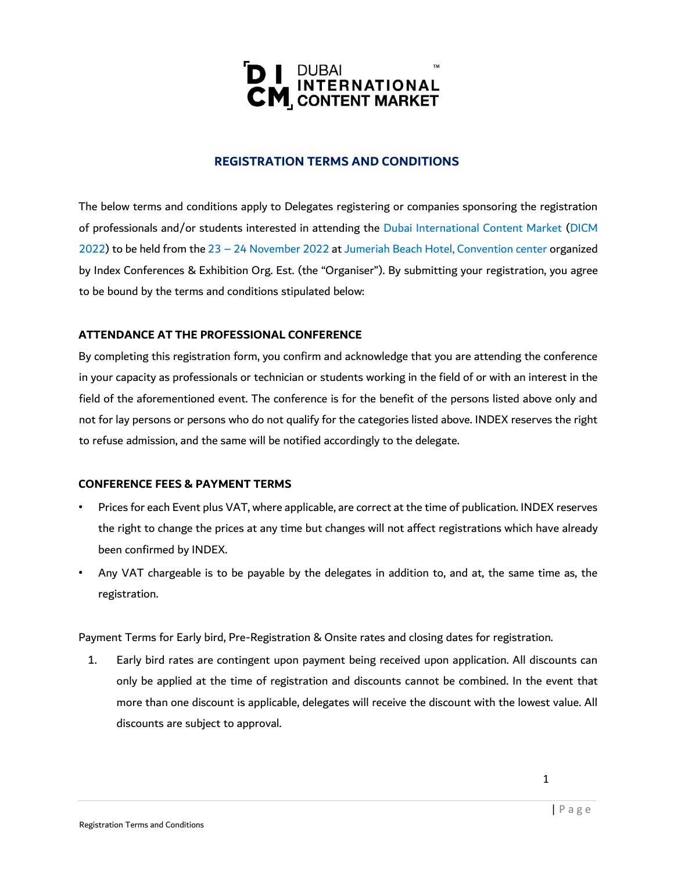

# **REGISTRATION TERMS AND CONDITIONS**

The below terms and conditions apply to Delegates registering or companies sponsoring the registration of professionals and/or students interested in attending the Dubai International Content Market (DICM 2022) to be held from the 23 – 24 November 2022 at Jumeriah Beach Hotel, Convention center organized by Index Conferences & Exhibition Org. Est. (the "Organiser"). By submitting your registration, you agree to be bound by the terms and conditions stipulated below:

# **ATTENDANCE AT THE PROFESSIONAL CONFERENCE**

By completing this registration form, you confirm and acknowledge that you are attending the conference in your capacity as professionals or technician or students working in the field of or with an interest in the field of the aforementioned event. The conference is for the benefit of the persons listed above only and not for lay persons or persons who do not qualify for the categories listed above. INDEX reserves the right to refuse admission, and the same will be notified accordingly to the delegate.

# **CONFERENCE FEES & PAYMENT TERMS**

- Prices for each Event plus VAT, where applicable, are correct at the time of publication. INDEX reserves the right to change the prices at any time but changes will not affect registrations which have already been confirmed by INDEX.
- Any VAT chargeable is to be payable by the delegates in addition to, and at, the same time as, the registration.

Payment Terms for Early bird, Pre-Registration & Onsite rates and closing dates for registration.

1. Early bird rates are contingent upon payment being received upon application. All discounts can only be applied at the time of registration and discounts cannot be combined. In the event that more than one discount is applicable, delegates will receive the discount with the lowest value. All discounts are subject to approval.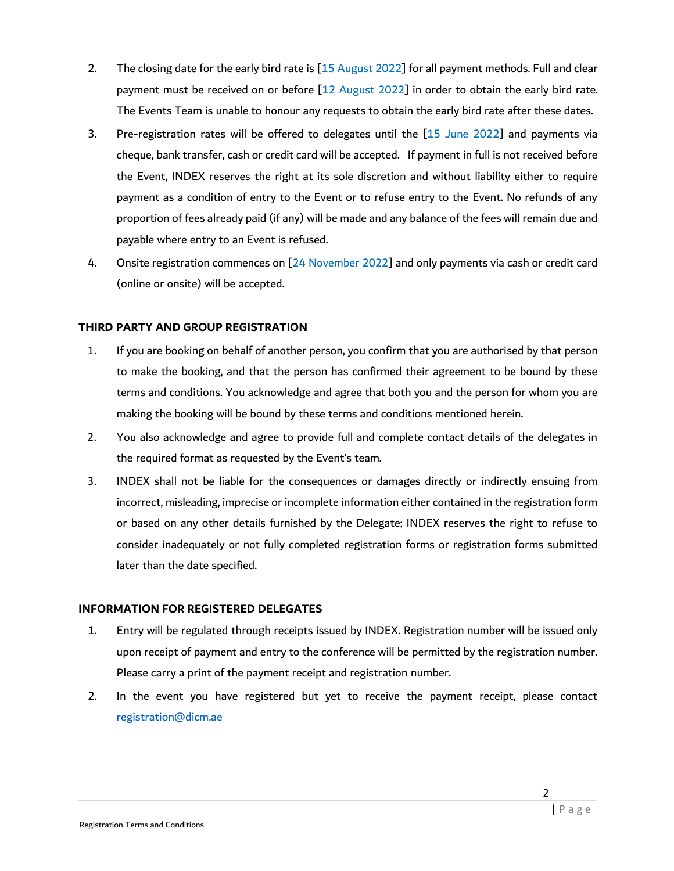- 2. The closing date for the early bird rate is [15 August 2022] for all payment methods. Full and clear payment must be received on or before [12 August 2022] in order to obtain the early bird rate. The Events Team is unable to honour any requests to obtain the early bird rate after these dates.
- 3. Pre-registration rates will be offered to delegates until the [15 June 2022] and payments via cheque, bank transfer, cash or credit card will be accepted. If payment in full is not received before the Event, INDEX reserves the right at its sole discretion and without liability either to require payment as a condition of entry to the Event or to refuse entry to the Event. No refunds of any proportion of fees already paid (if any) will be made and any balance of the fees will remain due and payable where entry to an Event is refused.
- 4. Onsite registration commences on [24 November 2022] and only payments via cash or credit card (online or onsite) will be accepted.

# **THIRD PARTY AND GROUP REGISTRATION**

- 1. If you are booking on behalf of another person, you confirm that you are authorised by that person to make the booking, and that the person has confirmed their agreement to be bound by these terms and conditions. You acknowledge and agree that both you and the person for whom you are making the booking will be bound by these terms and conditions mentioned herein.
- 2. You also acknowledge and agree to provide full and complete contact details of the delegates in the required format as requested by the Event's team.
- 3. INDEX shall not be liable for the consequences or damages directly or indirectly ensuing from incorrect, misleading, imprecise or incomplete information either contained in the registration form or based on any other details furnished by the Delegate; INDEX reserves the right to refuse to consider inadequately or not fully completed registration forms or registration forms submitted later than the date specified.

#### **INFORMATION FOR REGISTERED DELEGATES**

- 1. Entry will be regulated through receipts issued by INDEX. Registration number will be issued only upon receipt of payment and entry to the conference will be permitted by the registration number. Please carry a print of the payment receipt and registration number.
- 2. In the event you have registered but yet to receive the payment receipt, please contact registration@dicm.ae

2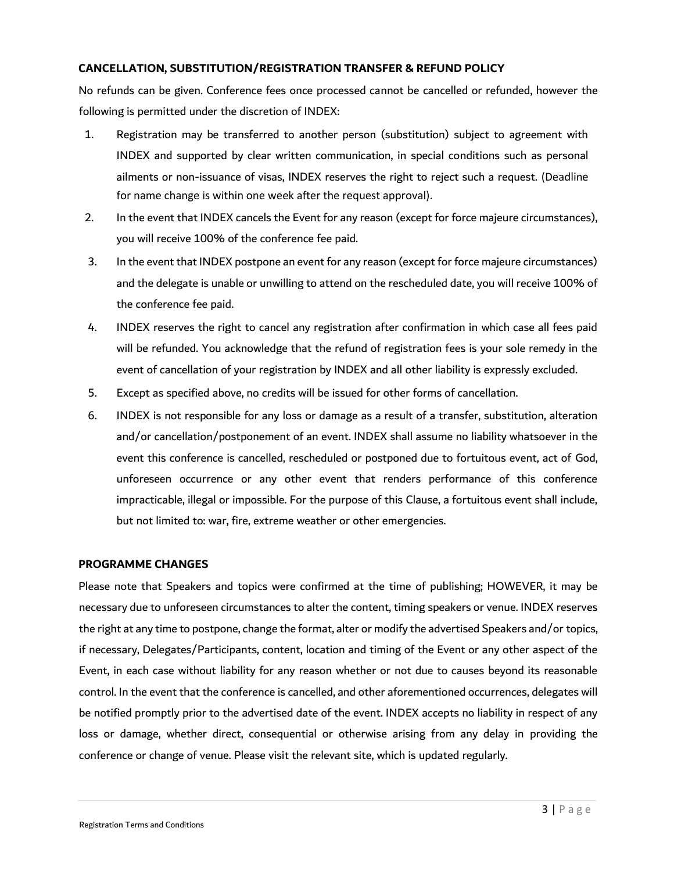#### **CANCELLATION, SUBSTITUTION/REGISTRATION TRANSFER & REFUND POLICY**

No refunds can be given. Conference fees once processed cannot be cancelled or refunded, however the following is permitted under the discretion of INDEX:

- 1. Registration may be transferred to another person (substitution) subject to agreement with INDEX and supported by clear written communication, in special conditions such as personal ailments or non-issuance of visas, INDEX reserves the right to reject such a request. (Deadline for name change is within one week after the request approval).
- 2. In the event that INDEX cancels the Event for any reason (except for force majeure circumstances), you will receive 100% of the conference fee paid.
- 3. In the event that INDEX postpone an event for any reason (except for force majeure circumstances) and the delegate is unable or unwilling to attend on the rescheduled date, you will receive 100% of the conference fee paid.
- 4. INDEX reserves the right to cancel any registration after confirmation in which case all fees paid will be refunded. You acknowledge that the refund of registration fees is your sole remedy in the event of cancellation of your registration by INDEX and all other liability is expressly excluded.
- 5. Except as specified above, no credits will be issued for other forms of cancellation.
- 6. INDEX is not responsible for any loss or damage as a result of a transfer, substitution, alteration and/or cancellation/postponement of an event. INDEX shall assume no liability whatsoever in the event this conference is cancelled, rescheduled or postponed due to fortuitous event, act of God, unforeseen occurrence or any other event that renders performance of this conference impracticable, illegal or impossible. For the purpose of this Clause, a fortuitous event shall include, but not limited to: war, fire, extreme weather or other emergencies.

#### **PROGRAMME CHANGES**

Please note that Speakers and topics were confirmed at the time of publishing; HOWEVER, it may be necessary due to unforeseen circumstances to alter the content, timing speakers or venue. INDEX reserves the right at any time to postpone, change the format, alter or modify the advertised Speakers and/or topics, if necessary, Delegates/Participants, content, location and timing of the Event or any other aspect of the Event, in each case without liability for any reason whether or not due to causes beyond its reasonable control. In the event that the conference is cancelled, and other aforementioned occurrences, delegates will be notified promptly prior to the advertised date of the event. INDEX accepts no liability in respect of any loss or damage, whether direct, consequential or otherwise arising from any delay in providing the conference or change of venue. Please visit the relevant site, which is updated regularly.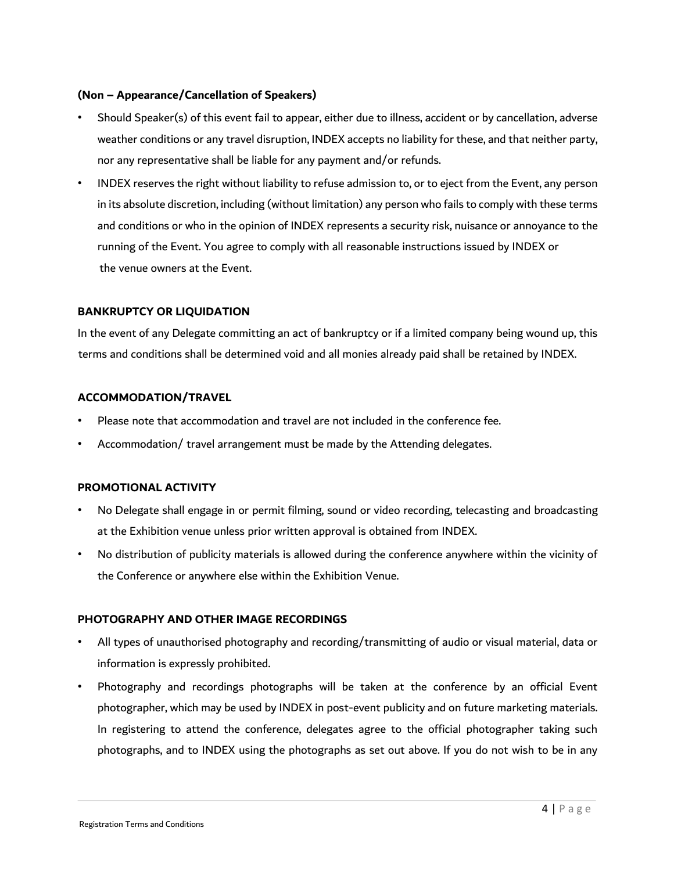# **(Non – Appearance/Cancellation of Speakers)**

- Should Speaker(s) of this event fail to appear, either due to illness, accident or by cancellation, adverse weather conditions or any travel disruption, INDEX accepts no liability for these, and that neither party, nor any representative shall be liable for any payment and/or refunds.
- INDEX reserves the right without liability to refuse admission to, or to eject from the Event, any person in its absolute discretion, including (without limitation) any person who fails to comply with these terms and conditions or who in the opinion of INDEX represents a security risk, nuisance or annoyance to the running of the Event. You agree to comply with all reasonable instructions issued by INDEX or the venue owners at the Event.

#### **BANKRUPTCY OR LIQUIDATION**

In the event of any Delegate committing an act of bankruptcy or if a limited company being wound up, this terms and conditions shall be determined void and all monies already paid shall be retained by INDEX.

#### **ACCOMMODATION/TRAVEL**

- Please note that accommodation and travel are not included in the conference fee.
- Accommodation/ travel arrangement must be made by the Attending delegates.

# **PROMOTIONAL ACTIVITY**

- No Delegate shall engage in or permit filming, sound or video recording, telecasting and broadcasting at the Exhibition venue unless prior written approval is obtained from INDEX.
- No distribution of publicity materials is allowed during the conference anywhere within the vicinity of the Conference or anywhere else within the Exhibition Venue.

#### **PHOTOGRAPHY AND OTHER IMAGE RECORDINGS**

- All types of unauthorised photography and recording/transmitting of audio or visual material, data or information is expressly prohibited.
- Photography and recordings photographs will be taken at the conference by an official Event photographer, which may be used by INDEX in post-event publicity and on future marketing materials. In registering to attend the conference, delegates agree to the official photographer taking such photographs, and to INDEX using the photographs as set out above. If you do not wish to be in any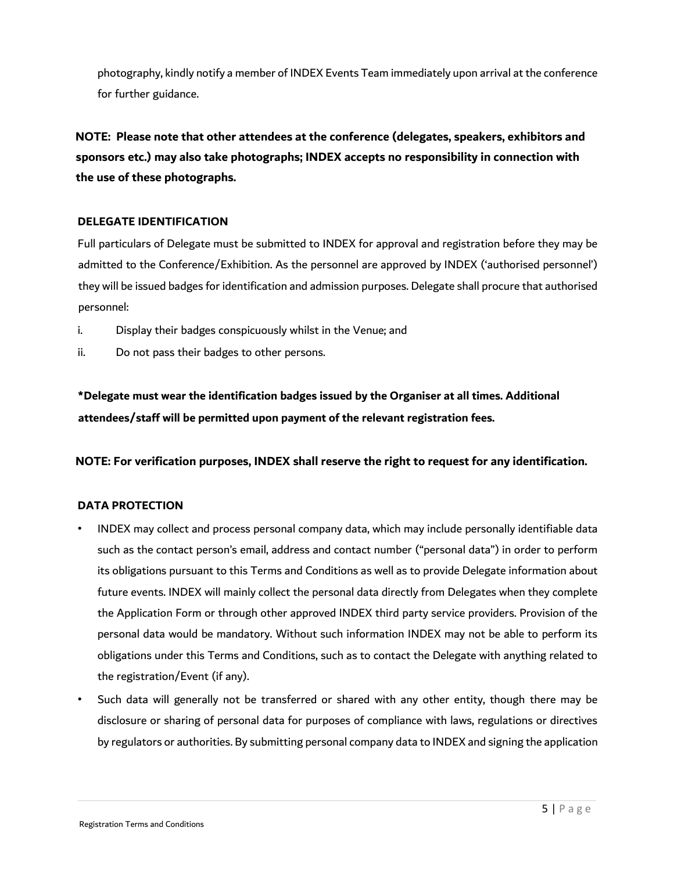photography, kindly notify a member of INDEX Events Team immediately upon arrival at the conference for further guidance.

**NOTE: Please note that other attendees at the conference (delegates, speakers, exhibitors and sponsors etc.) may also take photographs; INDEX accepts no responsibility in connection with the use of these photographs.** 

# **DELEGATE IDENTIFICATION**

Full particulars of Delegate must be submitted to INDEX for approval and registration before they may be admitted to the Conference/Exhibition. As the personnel are approved by INDEX ('authorised personnel') they will be issued badges for identification and admission purposes. Delegate shall procure that authorised personnel:

- i. Display their badges conspicuously whilst in the Venue; and
- ii. Do not pass their badges to other persons.

**\*Delegate must wear the identification badges issued by the Organiser at all times. Additional attendees/staff will be permitted upon payment of the relevant registration fees.** 

**NOTE: For verification purposes, INDEX shall reserve the right to request for any identification.** 

# **DATA PROTECTION**

- INDEX may collect and process personal company data, which may include personally identifiable data such as the contact person's email, address and contact number ("personal data") in order to perform its obligations pursuant to this Terms and Conditions as well as to provide Delegate information about future events. INDEX will mainly collect the personal data directly from Delegates when they complete the Application Form or through other approved INDEX third party service providers. Provision of the personal data would be mandatory. Without such information INDEX may not be able to perform its obligations under this Terms and Conditions, such as to contact the Delegate with anything related to the registration/Event (if any).
- Such data will generally not be transferred or shared with any other entity, though there may be disclosure or sharing of personal data for purposes of compliance with laws, regulations or directives by regulators or authorities. By submitting personal company data to INDEX and signing the application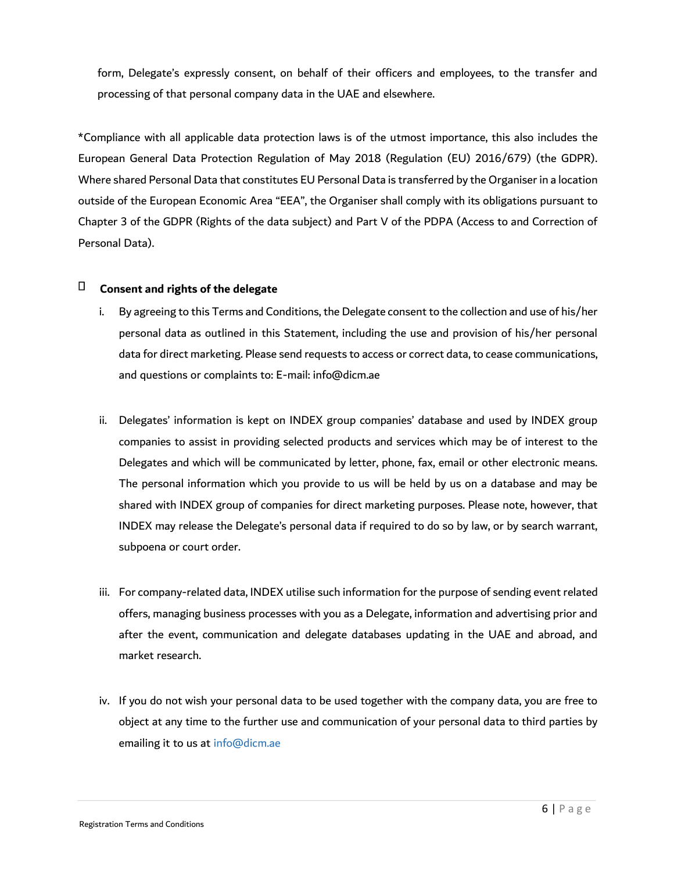form, Delegate's expressly consent, on behalf of their officers and employees, to the transfer and processing of that personal company data in the UAE and elsewhere.

\*Compliance with all applicable data protection laws is of the utmost importance, this also includes the European General Data Protection Regulation of May 2018 (Regulation (EU) 2016/679) (the GDPR). Where shared Personal Data that constitutes EU Personal Data is transferred by the Organiser in a location outside of the European Economic Area "EEA", the Organiser shall comply with its obligations pursuant to Chapter 3 of the GDPR (Rights of the data subject) and Part V of the PDPA (Access to and Correction of Personal Data).

#### П **Consent and rights of the delegate**

- i. By agreeing to this Terms and Conditions, the Delegate consent to the collection and use of his/her personal data as outlined in this Statement, including the use and provision of his/her personal data for direct marketing. Please send requests to access or correct data, to cease communications, and questions or complaints to: E-mail: info@dicm.ae
- ii. Delegates' information is kept on INDEX group companies' database and used by INDEX group companies to assist in providing selected products and services which may be of interest to the Delegates and which will be communicated by letter, phone, fax, email or other electronic means. The personal information which you provide to us will be held by us on a database and may be shared with INDEX group of companies for direct marketing purposes. Please note, however, that INDEX may release the Delegate's personal data if required to do so by law, or by search warrant, subpoena or court order.
- iii. For company-related data, INDEX utilise such information for the purpose of sending event related offers, managing business processes with you as a Delegate, information and advertising prior and after the event, communication and delegate databases updating in the UAE and abroad, and market research.
- iv. If you do not wish your personal data to be used together with the company data, you are free to object at any time to the further use and communication of your personal data to third parties by emailing it to us at info@dicm.ae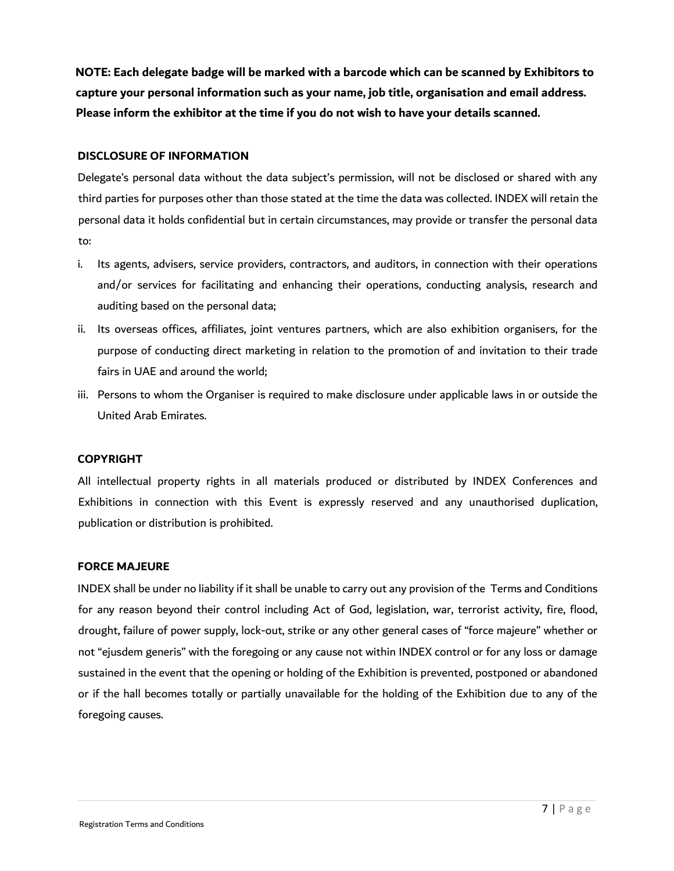**NOTE: Each delegate badge will be marked with a barcode which can be scanned by Exhibitors to capture your personal information such as your name, job title, organisation and email address. Please inform the exhibitor at the time if you do not wish to have your details scanned.** 

#### **DISCLOSURE OF INFORMATION**

Delegate's personal data without the data subject's permission, will not be disclosed or shared with any third parties for purposes other than those stated at the time the data was collected. INDEX will retain the personal data it holds confidential but in certain circumstances, may provide or transfer the personal data to:

- i. Its agents, advisers, service providers, contractors, and auditors, in connection with their operations and/or services for facilitating and enhancing their operations, conducting analysis, research and auditing based on the personal data;
- ii. Its overseas offices, affiliates, joint ventures partners, which are also exhibition organisers, for the purpose of conducting direct marketing in relation to the promotion of and invitation to their trade fairs in UAE and around the world;
- iii. Persons to whom the Organiser is required to make disclosure under applicable laws in or outside the United Arab Emirates.

# **COPYRIGHT**

All intellectual property rights in all materials produced or distributed by INDEX Conferences and Exhibitions in connection with this Event is expressly reserved and any unauthorised duplication, publication or distribution is prohibited.

#### **FORCE MAJEURE**

INDEX shall be under no liability if it shall be unable to carry out any provision of the Terms and Conditions for any reason beyond their control including Act of God, legislation, war, terrorist activity, fire, flood, drought, failure of power supply, lock-out, strike or any other general cases of "force majeure" whether or not "ejusdem generis" with the foregoing or any cause not within INDEX control or for any loss or damage sustained in the event that the opening or holding of the Exhibition is prevented, postponed or abandoned or if the hall becomes totally or partially unavailable for the holding of the Exhibition due to any of the foregoing causes.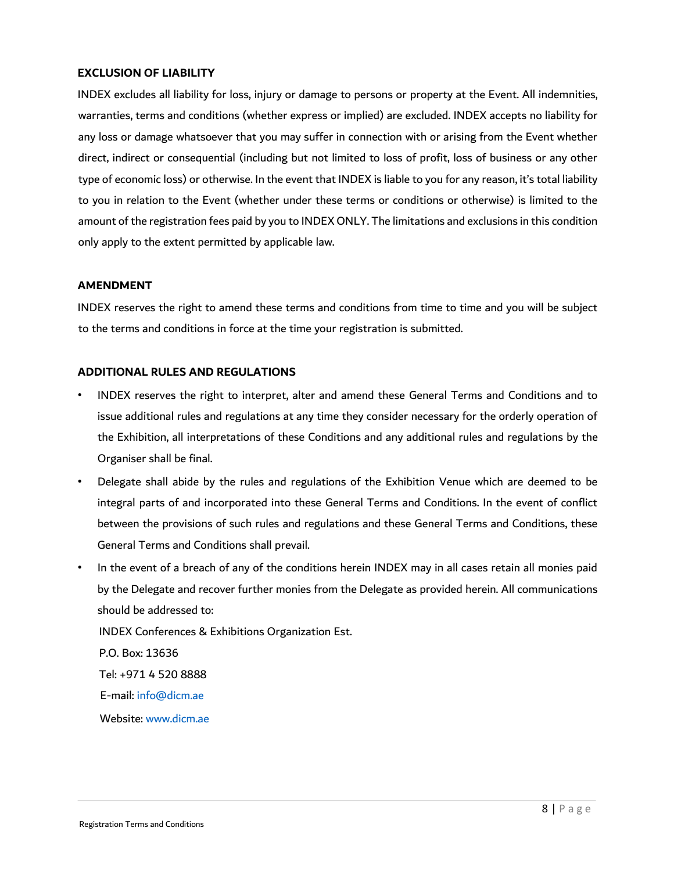# **EXCLUSION OF LIABILITY**

INDEX excludes all liability for loss, injury or damage to persons or property at the Event. All indemnities, warranties, terms and conditions (whether express or implied) are excluded. INDEX accepts no liability for any loss or damage whatsoever that you may suffer in connection with or arising from the Event whether direct, indirect or consequential (including but not limited to loss of profit, loss of business or any other type of economic loss) or otherwise. In the event that INDEX is liable to you for any reason, it's total liability to you in relation to the Event (whether under these terms or conditions or otherwise) is limited to the amount of the registration fees paid by you to INDEX ONLY. The limitations and exclusions in this condition only apply to the extent permitted by applicable law.

#### **AMENDMENT**

INDEX reserves the right to amend these terms and conditions from time to time and you will be subject to the terms and conditions in force at the time your registration is submitted.

#### **ADDITIONAL RULES AND REGULATIONS**

- INDEX reserves the right to interpret, alter and amend these General Terms and Conditions and to issue additional rules and regulations at any time they consider necessary for the orderly operation of the Exhibition, all interpretations of these Conditions and any additional rules and regulations by the Organiser shall be final.
- Delegate shall abide by the rules and regulations of the Exhibition Venue which are deemed to be integral parts of and incorporated into these General Terms and Conditions. In the event of conflict between the provisions of such rules and regulations and these General Terms and Conditions, these General Terms and Conditions shall prevail.
- In the event of a breach of any of the conditions herein INDEX may in all cases retain all monies paid by the Delegate and recover further monies from the Delegate as provided herein. All communications should be addressed to:

INDEX Conferences & Exhibitions Organization Est.

P.O. Box: 13636 Tel: +971 4 520 8888 E-mail: info@dicm.ae

Website: www.dicm.ae